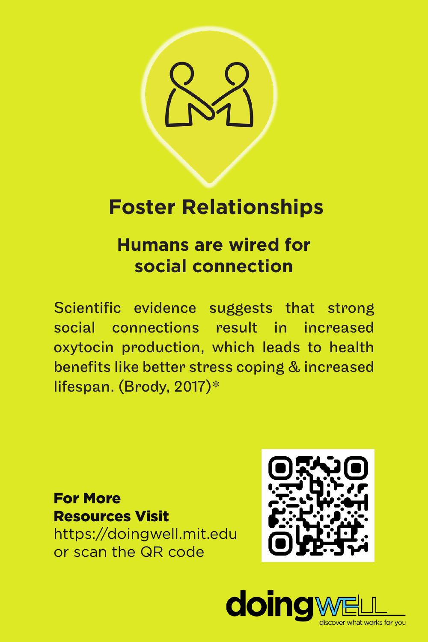

## **Foster Relationships**

## **Humans are wired for social connection**

Scientific evidence suggests that strong social connections result in increased oxytocin production, which leads to health benefits like better stress coping & increased lifespan. (Brody, 2017)\*

## For More Resources Visit https://doingwell.mit.edu

or scan the QR code